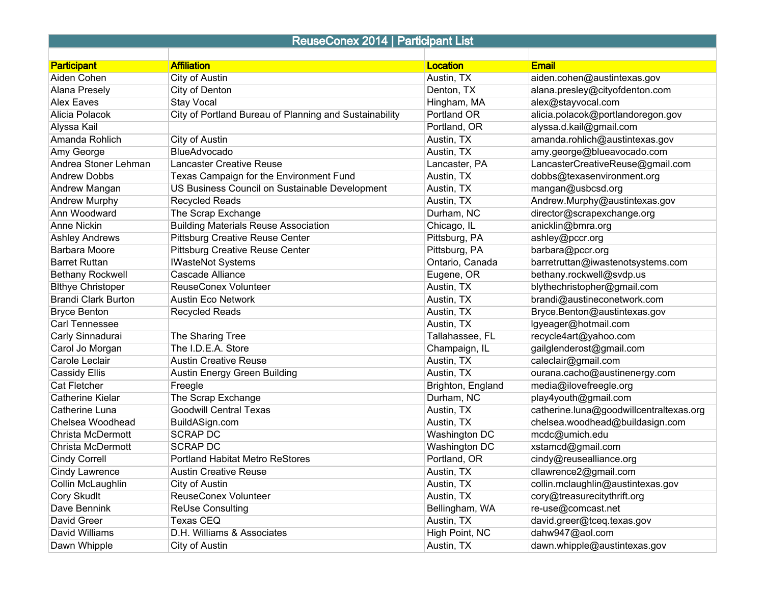## ReuseConex 2014 | Participant List

| Aiden Cohen<br>aiden.cohen@austintexas.gov<br>City of Austin<br>Austin, TX<br>City of Denton<br>alana.presley@cityofdenton.com<br><b>Alana Presely</b><br>Denton, TX<br><b>Stay Vocal</b><br><b>Alex Eaves</b><br>Hingham, MA<br>alex@stayvocal.com<br>City of Portland Bureau of Planning and Sustainability<br><b>Portland OR</b><br>alicia.polacok@portlandoregon.gov<br>Alicia Polacok<br>Portland, OR<br>alyssa.d.kail@gmail.com<br><b>City of Austin</b><br>amanda.rohlich@austintexas.gov<br>Amanda Rohlich<br>Austin, TX<br>BlueAdvocado<br>Austin, TX<br>amy.george@blueavocado.com<br>LancasterCreativeReuse@gmail.com<br>Andrea Stoner Lehman<br><b>Lancaster Creative Reuse</b><br>Lancaster, PA<br>Texas Campaign for the Environment Fund<br>dobbs@texasenvironment.org<br><b>Andrew Dobbs</b><br>Austin, TX<br>US Business Council on Sustainable Development<br>mangan@usbcsd.org<br>Austin, TX<br><b>Recycled Reads</b><br>Andrew.Murphy@austintexas.gov<br>Austin, TX<br>The Scrap Exchange<br>Durham, NC<br>director@scrapexchange.org<br><b>Building Materials Reuse Association</b><br>Chicago, IL<br>anicklin@bmra.org<br><b>Anne Nickin</b><br><b>Pittsburg Creative Reuse Center</b><br>Pittsburg, PA<br>ashley@pccr.org<br><b>Ashley Andrews</b><br><b>Pittsburg Creative Reuse Center</b><br>Pittsburg, PA<br>barbara@pccr.org<br>barretruttan@iwastenotsystems.com<br><b>Barret Ruttan</b><br><b>IWasteNot Systems</b><br>Ontario, Canada<br>Cascade Alliance<br>bethany.rockwell@svdp.us<br>Eugene, OR<br><b>ReuseConex Volunteer</b><br>Austin, TX<br>blythechristopher@gmail.com<br><b>Brandi Clark Burton</b><br>Austin, TX<br>brandi@austineconetwork.com<br><b>Austin Eco Network</b><br>Bryce.Benton@austintexas.gov<br><b>Bryce Benton</b><br><b>Recycled Reads</b><br>Austin, TX<br>lgyeager@hotmail.com<br>Carl Tennessee<br>Austin, TX<br>Carly Sinnadurai<br>Tallahassee, FL<br>recycle4art@yahoo.com |                          |                    |                 |              |
|----------------------------------------------------------------------------------------------------------------------------------------------------------------------------------------------------------------------------------------------------------------------------------------------------------------------------------------------------------------------------------------------------------------------------------------------------------------------------------------------------------------------------------------------------------------------------------------------------------------------------------------------------------------------------------------------------------------------------------------------------------------------------------------------------------------------------------------------------------------------------------------------------------------------------------------------------------------------------------------------------------------------------------------------------------------------------------------------------------------------------------------------------------------------------------------------------------------------------------------------------------------------------------------------------------------------------------------------------------------------------------------------------------------------------------------------------------------------------------------------------------------------------------------------------------------------------------------------------------------------------------------------------------------------------------------------------------------------------------------------------------------------------------------------------------------------------------------------------------------------------------------------------------------------------------------------|--------------------------|--------------------|-----------------|--------------|
|                                                                                                                                                                                                                                                                                                                                                                                                                                                                                                                                                                                                                                                                                                                                                                                                                                                                                                                                                                                                                                                                                                                                                                                                                                                                                                                                                                                                                                                                                                                                                                                                                                                                                                                                                                                                                                                                                                                                              | <b>Participant</b>       | <b>Affiliation</b> | <b>Location</b> | <b>Email</b> |
|                                                                                                                                                                                                                                                                                                                                                                                                                                                                                                                                                                                                                                                                                                                                                                                                                                                                                                                                                                                                                                                                                                                                                                                                                                                                                                                                                                                                                                                                                                                                                                                                                                                                                                                                                                                                                                                                                                                                              |                          |                    |                 |              |
|                                                                                                                                                                                                                                                                                                                                                                                                                                                                                                                                                                                                                                                                                                                                                                                                                                                                                                                                                                                                                                                                                                                                                                                                                                                                                                                                                                                                                                                                                                                                                                                                                                                                                                                                                                                                                                                                                                                                              |                          |                    |                 |              |
|                                                                                                                                                                                                                                                                                                                                                                                                                                                                                                                                                                                                                                                                                                                                                                                                                                                                                                                                                                                                                                                                                                                                                                                                                                                                                                                                                                                                                                                                                                                                                                                                                                                                                                                                                                                                                                                                                                                                              |                          |                    |                 |              |
|                                                                                                                                                                                                                                                                                                                                                                                                                                                                                                                                                                                                                                                                                                                                                                                                                                                                                                                                                                                                                                                                                                                                                                                                                                                                                                                                                                                                                                                                                                                                                                                                                                                                                                                                                                                                                                                                                                                                              |                          |                    |                 |              |
|                                                                                                                                                                                                                                                                                                                                                                                                                                                                                                                                                                                                                                                                                                                                                                                                                                                                                                                                                                                                                                                                                                                                                                                                                                                                                                                                                                                                                                                                                                                                                                                                                                                                                                                                                                                                                                                                                                                                              | Alyssa Kail              |                    |                 |              |
|                                                                                                                                                                                                                                                                                                                                                                                                                                                                                                                                                                                                                                                                                                                                                                                                                                                                                                                                                                                                                                                                                                                                                                                                                                                                                                                                                                                                                                                                                                                                                                                                                                                                                                                                                                                                                                                                                                                                              |                          |                    |                 |              |
|                                                                                                                                                                                                                                                                                                                                                                                                                                                                                                                                                                                                                                                                                                                                                                                                                                                                                                                                                                                                                                                                                                                                                                                                                                                                                                                                                                                                                                                                                                                                                                                                                                                                                                                                                                                                                                                                                                                                              | Amy George               |                    |                 |              |
|                                                                                                                                                                                                                                                                                                                                                                                                                                                                                                                                                                                                                                                                                                                                                                                                                                                                                                                                                                                                                                                                                                                                                                                                                                                                                                                                                                                                                                                                                                                                                                                                                                                                                                                                                                                                                                                                                                                                              |                          |                    |                 |              |
|                                                                                                                                                                                                                                                                                                                                                                                                                                                                                                                                                                                                                                                                                                                                                                                                                                                                                                                                                                                                                                                                                                                                                                                                                                                                                                                                                                                                                                                                                                                                                                                                                                                                                                                                                                                                                                                                                                                                              |                          |                    |                 |              |
|                                                                                                                                                                                                                                                                                                                                                                                                                                                                                                                                                                                                                                                                                                                                                                                                                                                                                                                                                                                                                                                                                                                                                                                                                                                                                                                                                                                                                                                                                                                                                                                                                                                                                                                                                                                                                                                                                                                                              | Andrew Mangan            |                    |                 |              |
|                                                                                                                                                                                                                                                                                                                                                                                                                                                                                                                                                                                                                                                                                                                                                                                                                                                                                                                                                                                                                                                                                                                                                                                                                                                                                                                                                                                                                                                                                                                                                                                                                                                                                                                                                                                                                                                                                                                                              | Andrew Murphy            |                    |                 |              |
|                                                                                                                                                                                                                                                                                                                                                                                                                                                                                                                                                                                                                                                                                                                                                                                                                                                                                                                                                                                                                                                                                                                                                                                                                                                                                                                                                                                                                                                                                                                                                                                                                                                                                                                                                                                                                                                                                                                                              | Ann Woodward             |                    |                 |              |
|                                                                                                                                                                                                                                                                                                                                                                                                                                                                                                                                                                                                                                                                                                                                                                                                                                                                                                                                                                                                                                                                                                                                                                                                                                                                                                                                                                                                                                                                                                                                                                                                                                                                                                                                                                                                                                                                                                                                              |                          |                    |                 |              |
|                                                                                                                                                                                                                                                                                                                                                                                                                                                                                                                                                                                                                                                                                                                                                                                                                                                                                                                                                                                                                                                                                                                                                                                                                                                                                                                                                                                                                                                                                                                                                                                                                                                                                                                                                                                                                                                                                                                                              |                          |                    |                 |              |
|                                                                                                                                                                                                                                                                                                                                                                                                                                                                                                                                                                                                                                                                                                                                                                                                                                                                                                                                                                                                                                                                                                                                                                                                                                                                                                                                                                                                                                                                                                                                                                                                                                                                                                                                                                                                                                                                                                                                              | <b>Barbara Moore</b>     |                    |                 |              |
|                                                                                                                                                                                                                                                                                                                                                                                                                                                                                                                                                                                                                                                                                                                                                                                                                                                                                                                                                                                                                                                                                                                                                                                                                                                                                                                                                                                                                                                                                                                                                                                                                                                                                                                                                                                                                                                                                                                                              |                          |                    |                 |              |
|                                                                                                                                                                                                                                                                                                                                                                                                                                                                                                                                                                                                                                                                                                                                                                                                                                                                                                                                                                                                                                                                                                                                                                                                                                                                                                                                                                                                                                                                                                                                                                                                                                                                                                                                                                                                                                                                                                                                              | <b>Bethany Rockwell</b>  |                    |                 |              |
|                                                                                                                                                                                                                                                                                                                                                                                                                                                                                                                                                                                                                                                                                                                                                                                                                                                                                                                                                                                                                                                                                                                                                                                                                                                                                                                                                                                                                                                                                                                                                                                                                                                                                                                                                                                                                                                                                                                                              | <b>Blthye Christoper</b> |                    |                 |              |
|                                                                                                                                                                                                                                                                                                                                                                                                                                                                                                                                                                                                                                                                                                                                                                                                                                                                                                                                                                                                                                                                                                                                                                                                                                                                                                                                                                                                                                                                                                                                                                                                                                                                                                                                                                                                                                                                                                                                              |                          |                    |                 |              |
|                                                                                                                                                                                                                                                                                                                                                                                                                                                                                                                                                                                                                                                                                                                                                                                                                                                                                                                                                                                                                                                                                                                                                                                                                                                                                                                                                                                                                                                                                                                                                                                                                                                                                                                                                                                                                                                                                                                                              |                          |                    |                 |              |
|                                                                                                                                                                                                                                                                                                                                                                                                                                                                                                                                                                                                                                                                                                                                                                                                                                                                                                                                                                                                                                                                                                                                                                                                                                                                                                                                                                                                                                                                                                                                                                                                                                                                                                                                                                                                                                                                                                                                              |                          |                    |                 |              |
|                                                                                                                                                                                                                                                                                                                                                                                                                                                                                                                                                                                                                                                                                                                                                                                                                                                                                                                                                                                                                                                                                                                                                                                                                                                                                                                                                                                                                                                                                                                                                                                                                                                                                                                                                                                                                                                                                                                                              |                          | The Sharing Tree   |                 |              |
| Carol Jo Morgan<br>The I.D.E.A. Store<br>Champaign, IL<br>gailglenderost@gmail.com                                                                                                                                                                                                                                                                                                                                                                                                                                                                                                                                                                                                                                                                                                                                                                                                                                                                                                                                                                                                                                                                                                                                                                                                                                                                                                                                                                                                                                                                                                                                                                                                                                                                                                                                                                                                                                                           |                          |                    |                 |              |
| <b>Austin Creative Reuse</b><br>Austin, TX<br>caleclair@gmail.com                                                                                                                                                                                                                                                                                                                                                                                                                                                                                                                                                                                                                                                                                                                                                                                                                                                                                                                                                                                                                                                                                                                                                                                                                                                                                                                                                                                                                                                                                                                                                                                                                                                                                                                                                                                                                                                                            | Carole Leclair           |                    |                 |              |
| <b>Cassidy Ellis</b><br>Austin, TX<br>ourana.cacho@austinenergy.com<br>Austin Energy Green Building                                                                                                                                                                                                                                                                                                                                                                                                                                                                                                                                                                                                                                                                                                                                                                                                                                                                                                                                                                                                                                                                                                                                                                                                                                                                                                                                                                                                                                                                                                                                                                                                                                                                                                                                                                                                                                          |                          |                    |                 |              |
| <b>Cat Fletcher</b><br>media@ilovefreegle.org<br>Freegle<br>Brighton, England                                                                                                                                                                                                                                                                                                                                                                                                                                                                                                                                                                                                                                                                                                                                                                                                                                                                                                                                                                                                                                                                                                                                                                                                                                                                                                                                                                                                                                                                                                                                                                                                                                                                                                                                                                                                                                                                |                          |                    |                 |              |
| The Scrap Exchange<br>Durham, NC<br>play4youth@gmail.com<br><b>Catherine Kielar</b>                                                                                                                                                                                                                                                                                                                                                                                                                                                                                                                                                                                                                                                                                                                                                                                                                                                                                                                                                                                                                                                                                                                                                                                                                                                                                                                                                                                                                                                                                                                                                                                                                                                                                                                                                                                                                                                          |                          |                    |                 |              |
| <b>Goodwill Central Texas</b><br>Austin, TX<br>catherine.luna@goodwillcentraltexas.org<br>Catherine Luna                                                                                                                                                                                                                                                                                                                                                                                                                                                                                                                                                                                                                                                                                                                                                                                                                                                                                                                                                                                                                                                                                                                                                                                                                                                                                                                                                                                                                                                                                                                                                                                                                                                                                                                                                                                                                                     |                          |                    |                 |              |
| BuildASign.com<br>chelsea.woodhead@buildasign.com<br>Chelsea Woodhead<br>Austin, TX                                                                                                                                                                                                                                                                                                                                                                                                                                                                                                                                                                                                                                                                                                                                                                                                                                                                                                                                                                                                                                                                                                                                                                                                                                                                                                                                                                                                                                                                                                                                                                                                                                                                                                                                                                                                                                                          |                          |                    |                 |              |
| <b>SCRAP DC</b><br>Christa McDermott<br><b>Washington DC</b><br>mcdc@umich.edu                                                                                                                                                                                                                                                                                                                                                                                                                                                                                                                                                                                                                                                                                                                                                                                                                                                                                                                                                                                                                                                                                                                                                                                                                                                                                                                                                                                                                                                                                                                                                                                                                                                                                                                                                                                                                                                               |                          |                    |                 |              |
| <b>SCRAP DC</b><br><b>Washington DC</b><br>xstamcd@gmail.com<br>Christa McDermott                                                                                                                                                                                                                                                                                                                                                                                                                                                                                                                                                                                                                                                                                                                                                                                                                                                                                                                                                                                                                                                                                                                                                                                                                                                                                                                                                                                                                                                                                                                                                                                                                                                                                                                                                                                                                                                            |                          |                    |                 |              |
| <b>Portland Habitat Metro ReStores</b><br>Portland, OR<br>cindy@reusealliance.org                                                                                                                                                                                                                                                                                                                                                                                                                                                                                                                                                                                                                                                                                                                                                                                                                                                                                                                                                                                                                                                                                                                                                                                                                                                                                                                                                                                                                                                                                                                                                                                                                                                                                                                                                                                                                                                            | <b>Cindy Correll</b>     |                    |                 |              |
| cllawrence2@gmail.com<br><b>Austin Creative Reuse</b><br>Austin, TX                                                                                                                                                                                                                                                                                                                                                                                                                                                                                                                                                                                                                                                                                                                                                                                                                                                                                                                                                                                                                                                                                                                                                                                                                                                                                                                                                                                                                                                                                                                                                                                                                                                                                                                                                                                                                                                                          | <b>Cindy Lawrence</b>    |                    |                 |              |
| City of Austin<br>Austin, TX<br>collin.mclaughlin@austintexas.gov                                                                                                                                                                                                                                                                                                                                                                                                                                                                                                                                                                                                                                                                                                                                                                                                                                                                                                                                                                                                                                                                                                                                                                                                                                                                                                                                                                                                                                                                                                                                                                                                                                                                                                                                                                                                                                                                            | Collin McLaughlin        |                    |                 |              |
| <b>ReuseConex Volunteer</b><br>Austin, TX<br>cory@treasurecitythrift.org                                                                                                                                                                                                                                                                                                                                                                                                                                                                                                                                                                                                                                                                                                                                                                                                                                                                                                                                                                                                                                                                                                                                                                                                                                                                                                                                                                                                                                                                                                                                                                                                                                                                                                                                                                                                                                                                     | <b>Cory Skudlt</b>       |                    |                 |              |
| ReUse Consulting<br>re-use@comcast.net<br>Bellingham, WA                                                                                                                                                                                                                                                                                                                                                                                                                                                                                                                                                                                                                                                                                                                                                                                                                                                                                                                                                                                                                                                                                                                                                                                                                                                                                                                                                                                                                                                                                                                                                                                                                                                                                                                                                                                                                                                                                     | Dave Bennink             |                    |                 |              |
| David Greer<br><b>Texas CEQ</b><br>Austin, TX<br>david.greer@tceq.texas.gov                                                                                                                                                                                                                                                                                                                                                                                                                                                                                                                                                                                                                                                                                                                                                                                                                                                                                                                                                                                                                                                                                                                                                                                                                                                                                                                                                                                                                                                                                                                                                                                                                                                                                                                                                                                                                                                                  |                          |                    |                 |              |
| dahw947@aol.com<br>D.H. Williams & Associates<br>High Point, NC<br>David Williams                                                                                                                                                                                                                                                                                                                                                                                                                                                                                                                                                                                                                                                                                                                                                                                                                                                                                                                                                                                                                                                                                                                                                                                                                                                                                                                                                                                                                                                                                                                                                                                                                                                                                                                                                                                                                                                            |                          |                    |                 |              |
| City of Austin<br>dawn.whipple@austintexas.gov<br>Austin, TX                                                                                                                                                                                                                                                                                                                                                                                                                                                                                                                                                                                                                                                                                                                                                                                                                                                                                                                                                                                                                                                                                                                                                                                                                                                                                                                                                                                                                                                                                                                                                                                                                                                                                                                                                                                                                                                                                 | Dawn Whipple             |                    |                 |              |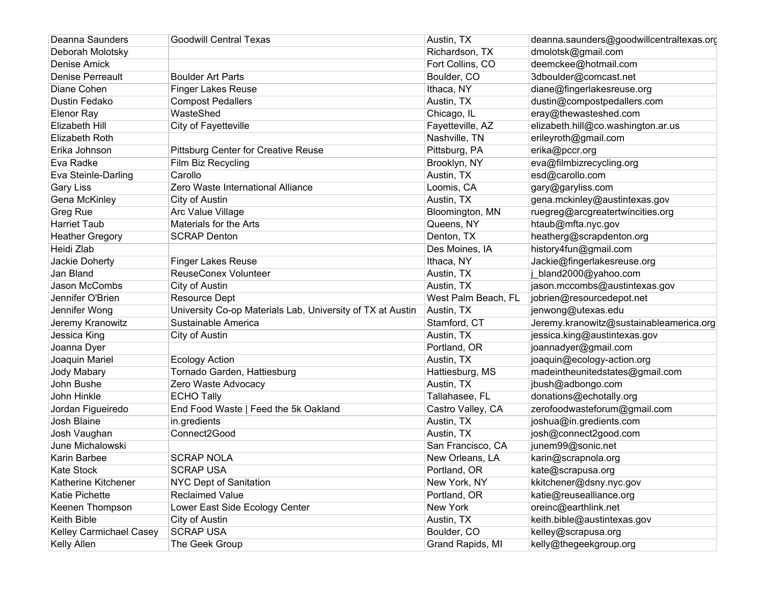| Deanna Saunders         | <b>Goodwill Central Texas</b>                              | Austin, TX          | deanna.saunders@goodwillcentraltexas.org |
|-------------------------|------------------------------------------------------------|---------------------|------------------------------------------|
| Deborah Molotsky        |                                                            | Richardson, TX      | dmolotsk@gmail.com                       |
| <b>Denise Amick</b>     |                                                            | Fort Collins, CO    | deemckee@hotmail.com                     |
| Denise Perreault        | <b>Boulder Art Parts</b>                                   | Boulder, CO         | 3dboulder@comcast.net                    |
| Diane Cohen             | <b>Finger Lakes Reuse</b>                                  | Ithaca, NY          | diane@fingerlakesreuse.org               |
| Dustin Fedako           | <b>Compost Pedallers</b>                                   | Austin, TX          | dustin@compostpedallers.com              |
| Elenor Ray              | WasteShed                                                  | Chicago, IL         | eray@thewasteshed.com                    |
| Elizabeth Hill          | City of Fayetteville                                       | Fayetteville, AZ    | elizabeth.hill@co.washington.ar.us       |
| Elizabeth Roth          |                                                            | Nashville, TN       | erileyroth@gmail.com                     |
| Erika Johnson           | <b>Pittsburg Center for Creative Reuse</b>                 | Pittsburg, PA       | erika@pccr.org                           |
| Eva Radke               | Film Biz Recycling                                         | Brooklyn, NY        | eva@filmbizrecycling.org                 |
| Eva Steinle-Darling     | Carollo                                                    | Austin, TX          | esd@carollo.com                          |
| Gary Liss               | Zero Waste International Alliance                          | Loomis, CA          | gary@garyliss.com                        |
| Gena McKinley           | City of Austin                                             | Austin, TX          | gena.mckinley@austintexas.gov            |
| Greg Rue                | Arc Value Village                                          | Bloomington, MN     | ruegreg@arcgreatertwincities.org         |
| Harriet Taub            | Materials for the Arts                                     | Queens, NY          | htaub@mfta.nyc.gov                       |
| <b>Heather Gregory</b>  | <b>SCRAP Denton</b>                                        | Denton, TX          | heatherg@scrapdenton.org                 |
| Heidi Zlab              |                                                            | Des Moines, IA      | history4fun@gmail.com                    |
| Jackie Doherty          | <b>Finger Lakes Reuse</b>                                  | Ithaca, NY          | Jackie@fingerlakesreuse.org              |
| Jan Bland               | <b>ReuseConex Volunteer</b>                                | Austin, TX          | j bland2000@yahoo.com                    |
| Jason McCombs           | City of Austin                                             | Austin, TX          | jason.mccombs@austintexas.gov            |
| Jennifer O'Brien        | <b>Resource Dept</b>                                       | West Palm Beach, FL | jobrien@resourcedepot.net                |
| Jennifer Wong           | University Co-op Materials Lab, University of TX at Austin | Austin, TX          | jenwong@utexas.edu                       |
| Jeremy Kranowitz        | Sustainable America                                        | Stamford, CT        | Jeremy.kranowitz@sustainableamerica.org  |
| Jessica King            | City of Austin                                             | Austin, TX          | jessica.king@austintexas.gov             |
| Joanna Dyer             |                                                            | Portland, OR        | joannadyer@gmail.com                     |
| Joaquin Mariel          | <b>Ecology Action</b>                                      | Austin, TX          | joaquin@ecology-action.org               |
| Jody Mabary             | Tornado Garden, Hattiesburg                                | Hattiesburg, MS     | madeintheunitedstates@gmail.com          |
| John Bushe              | Zero Waste Advocacy                                        | Austin, TX          | jbush@adbongo.com                        |
| John Hinkle             | <b>ECHO Tally</b>                                          | Tallahasee, FL      | donations@echotally.org                  |
| Jordan Figueiredo       | End Food Waste   Feed the 5k Oakland                       | Castro Valley, CA   | zerofoodwasteforum@gmail.com             |
| Josh Blaine             | in.gredients                                               | Austin, TX          | joshua@in.gredients.com                  |
| Josh Vaughan            | Connect2Good                                               | Austin, TX          | josh@connect2good.com                    |
| June Michalowski        |                                                            | San Francisco, CA   | junem99@sonic.net                        |
| Karin Barbee            | <b>SCRAP NOLA</b>                                          | New Orleans, LA     | karin@scrapnola.org                      |
| <b>Kate Stock</b>       | <b>SCRAP USA</b>                                           | Portland, OR        | kate@scrapusa.org                        |
| Katherine Kitchener     | NYC Dept of Sanitation                                     | New York, NY        | kkitchener@dsny.nyc.gov                  |
| Katie Pichette          | <b>Reclaimed Value</b>                                     | Portland, OR        | katie@reusealliance.org                  |
| Keenen Thompson         | Lower East Side Ecology Center                             | New York            | oreinc@earthlink.net                     |
| Keith Bible             | City of Austin                                             | Austin, TX          | keith.bible@austintexas.gov              |
| Kelley Carmichael Casey | <b>SCRAP USA</b>                                           | Boulder, CO         | kelley@scrapusa.org                      |
| Kelly Allen             | The Geek Group                                             | Grand Rapids, MI    | kelly@thegeekgroup.org                   |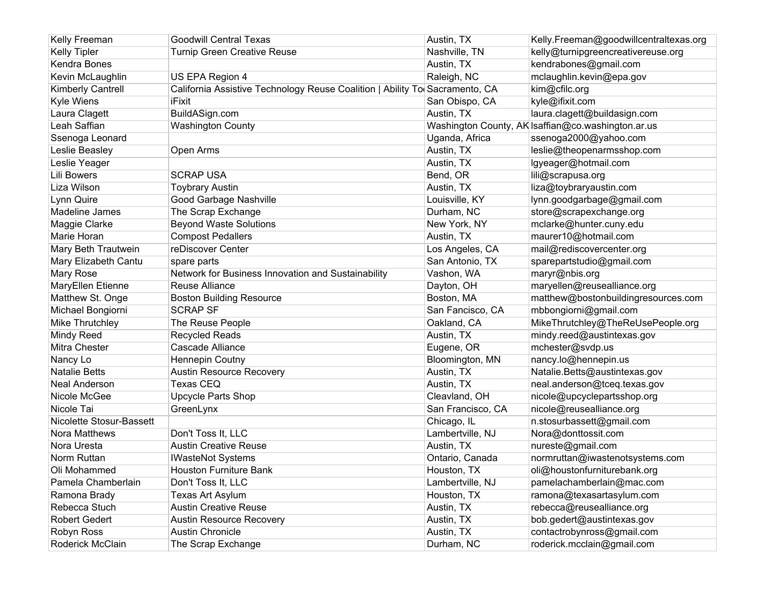| Kelly Freeman            | <b>Goodwill Central Texas</b>                                               | Austin, TX        | Kelly.Freeman@goodwillcentraltexas.org             |
|--------------------------|-----------------------------------------------------------------------------|-------------------|----------------------------------------------------|
| <b>Kelly Tipler</b>      | <b>Turnip Green Creative Reuse</b>                                          | Nashville, TN     | kelly@turnipgreencreativereuse.org                 |
| Kendra Bones             |                                                                             | Austin, TX        | kendrabones@gmail.com                              |
| Kevin McLaughlin         | US EPA Region 4                                                             | Raleigh, NC       | mclaughlin.kevin@epa.gov                           |
| Kimberly Cantrell        | California Assistive Technology Reuse Coalition   Ability To Sacramento, CA |                   | kim@cfilc.org                                      |
| Kyle Wiens               | iFixit                                                                      | San Obispo, CA    | kyle@ifixit.com                                    |
| Laura Clagett            | BuildASign.com                                                              | Austin, TX        | laura.clagett@buildasign.com                       |
| Leah Saffian             | <b>Washington County</b>                                                    |                   | Washington County, AK Isaffian@co.washington.ar.us |
| Ssenoga Leonard          |                                                                             | Uganda, Africa    | ssenoga2000@yahoo.com                              |
| Leslie Beasley           | Open Arms                                                                   | Austin, TX        | leslie@theopenarmsshop.com                         |
| Leslie Yeager            |                                                                             | Austin, TX        | lgyeager@hotmail.com                               |
| <b>Lili Bowers</b>       | <b>SCRAP USA</b>                                                            | Bend, OR          | lili@scrapusa.org                                  |
| Liza Wilson              | <b>Toybrary Austin</b>                                                      | Austin, TX        | liza@toybraryaustin.com                            |
| Lynn Quire               | Good Garbage Nashville                                                      | Louisville, KY    | lynn.goodgarbage@gmail.com                         |
| Madeline James           | The Scrap Exchange                                                          | Durham, NC        | store@scrapexchange.org                            |
| Maggie Clarke            | <b>Beyond Waste Solutions</b>                                               | New York, NY      | mclarke@hunter.cuny.edu                            |
| Marie Horan              | <b>Compost Pedallers</b>                                                    | Austin, TX        | maurer10@hotmail.com                               |
| Mary Beth Trautwein      | reDiscover Center                                                           | Los Angeles, CA   | mail@rediscovercenter.org                          |
| Mary Elizabeth Cantu     | spare parts                                                                 | San Antonio, TX   | sparepartstudio@gmail.com                          |
| Mary Rose                | Network for Business Innovation and Sustainability                          | Vashon, WA        | maryr@nbis.org                                     |
| MaryEllen Etienne        | Reuse Alliance                                                              | Dayton, OH        | maryellen@reusealliance.org                        |
| Matthew St. Onge         | <b>Boston Building Resource</b>                                             | Boston, MA        | matthew@bostonbuildingresources.com                |
| Michael Bongiorni        | <b>SCRAP SF</b>                                                             | San Fancisco, CA  | mbbongiorni@gmail.com                              |
| Mike Thrutchley          | The Reuse People                                                            | Oakland, CA       | MikeThrutchley@TheReUsePeople.org                  |
| Mindy Reed               | <b>Recycled Reads</b>                                                       | Austin, TX        | mindy.reed@austintexas.gov                         |
| Mitra Chester            | Cascade Alliance                                                            | Eugene, OR        | mchester@svdp.us                                   |
| Nancy Lo                 | <b>Hennepin Coutny</b>                                                      | Bloomington, MN   | nancy.lo@hennepin.us                               |
| <b>Natalie Betts</b>     | <b>Austin Resource Recovery</b>                                             | Austin, TX        | Natalie.Betts@austintexas.gov                      |
| Neal Anderson            | <b>Texas CEQ</b>                                                            | Austin, TX        | neal.anderson@tceq.texas.gov                       |
| Nicole McGee             | <b>Upcycle Parts Shop</b>                                                   | Cleavland, OH     | nicole@upcyclepartsshop.org                        |
| Nicole Tai               | GreenLynx                                                                   | San Francisco, CA | nicole@reusealliance.org                           |
| Nicolette Stosur-Bassett |                                                                             | Chicago, IL       | n.stosurbassett@gmail.com                          |
| Nora Matthews            | Don't Toss It, LLC                                                          | Lambertville, NJ  | Nora@donttossit.com                                |
| Nora Uresta              | <b>Austin Creative Reuse</b>                                                | Austin, TX        | nureste@gmail.com                                  |
| Norm Ruttan              | <b>IWasteNot Systems</b>                                                    | Ontario, Canada   | normruttan@iwastenotsystems.com                    |
| Oli Mohammed             | Houston Furniture Bank                                                      | Houston, TX       | oli@houstonfurniturebank.org                       |
| Pamela Chamberlain       | Don't Toss It, LLC                                                          | Lambertville, NJ  | pamelachamberlain@mac.com                          |
| Ramona Brady             | Texas Art Asylum                                                            | Houston, TX       | ramona@texasartasylum.com                          |
| Rebecca Stuch            | <b>Austin Creative Reuse</b>                                                | Austin, TX        | rebecca@reusealliance.org                          |
| <b>Robert Gedert</b>     | <b>Austin Resource Recovery</b>                                             | Austin, TX        | bob.gedert@austintexas.gov                         |
| Robyn Ross               | <b>Austin Chronicle</b>                                                     | Austin, TX        | contactrobynross@gmail.com                         |
| Roderick McClain         | The Scrap Exchange                                                          | Durham, NC        | roderick.mcclain@gmail.com                         |
|                          |                                                                             |                   |                                                    |